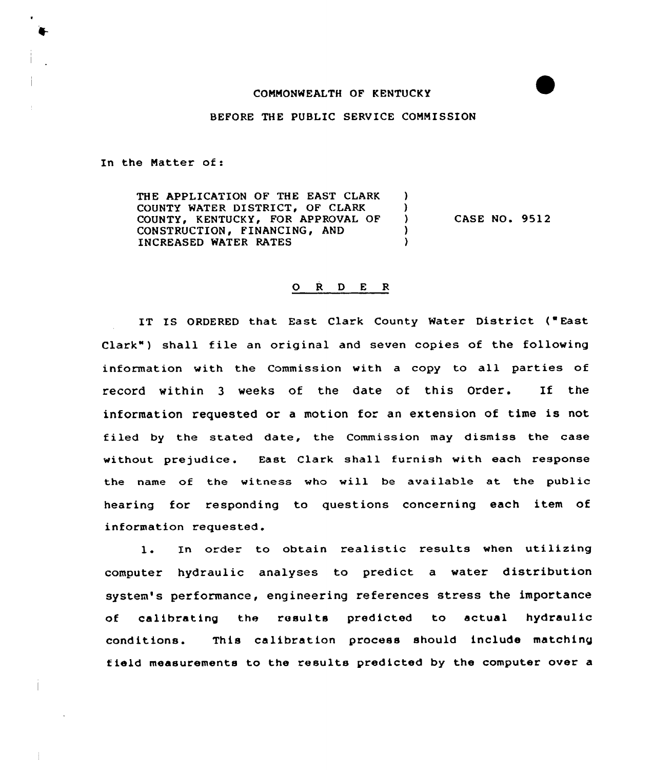### CONNONWEALTH OF KENTUCKY

BEFORE THE PUBLIC SERVICE COMMISSION

 $\mathbf{L}$  $\lambda$  $\lambda$  $\lambda$  $\lambda$ 

In the Natter of:

THE APPLICATION OF THE EAST CLARK COUNTY WATER DISTRICT, OF CLARK COUNTY, KENTUCKY, FOR APPROVAL OF CONSTRUCTION, FINANCING, AND INCREASED WATER RATES

**CASE NO. 9512** 

## 0 <sup>R</sup> <sup>D</sup> <sup>E</sup> <sup>R</sup>

IT IS ORDERED that East Clark County Water District ("East Clark") shall file an original and seven copies of the following information with the Commission with a copy to all parties of record within <sup>3</sup> weeks of the date of this Order. If the information requested or <sup>a</sup> motion for an extension of time is not filed by the stated date, the Commission may dismiss the case without prejudice. East Clark shall furnish with each response the name of the witness who will be available at the public hearing for responding to questions concerning each item of information requested.

1. In order to obtain realistic results when utilizing computer hydraulic analyses to predict a water distribution system's performance, engineering references stress the importance of calibrating the results predicted to actual hydraulic conditions. This calibration process should include matching field measurements to the results predicted by the computer over a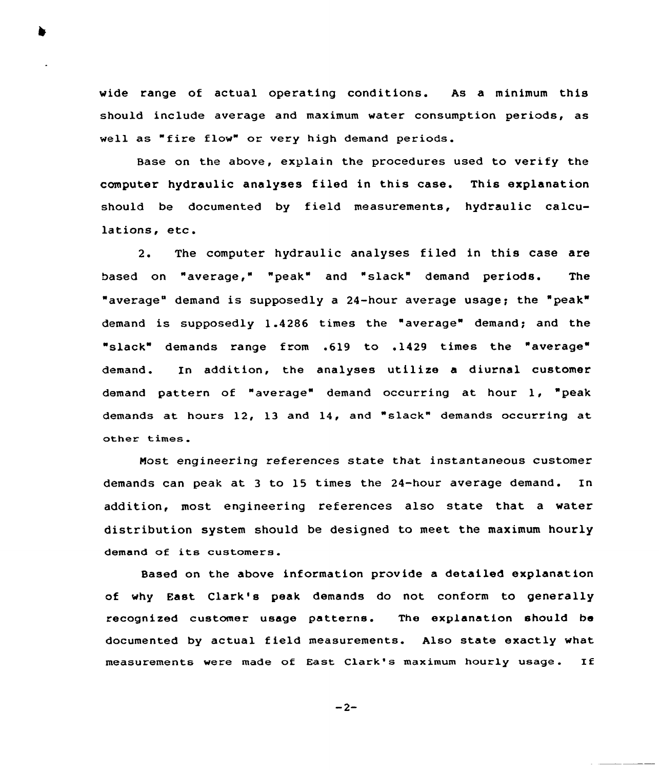wide range of actual operating conditions. As a minimum this should include average and maximum water consumption periods, as well as "fire flow" or very high demand periods.

Base on the above, explain the procedures used to verify the computer hydraulic analyses filed in this case. This explanation should be documented by field measurements, hydraulic calculations, etc.

2. The computer hydraulic analyses filed in this case are based on "average," "peak" and "slack" demand periods. The "average" demand is supposedly a 24-hour average usage; the "peak" demand is supposedly 1.4286 times the "average" demand; and the "slack" demands range from .619 to .1429 times the "average" demand. In addition, the analyses utilize a diurnal customer demand pattern of "average" demand occurring at hour 1, "peak demands at hours 12, 13 and 14, and "slack" demands occurring at other times

Most engineering references state that instantaneous customer demands can peak at <sup>3</sup> to 15 times the 24 hour average demand. In addition, most engineering references also state that a water distribution system should be designed to meet the maximum hourly demand of its customers.

Based on the above information provide a detailed explanation of why East Clark's peak demands do not conform to generally recognized customer usage patterns. The explanation should be documented by actual field measurements. Also state exactly what measurements were made of East Clark's maximum hourly usage . If

 $-2-$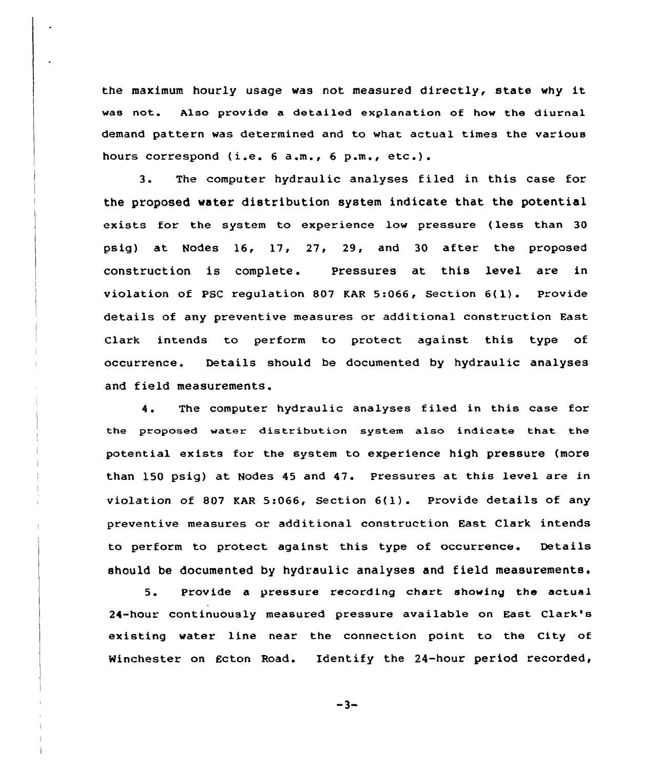the maximum hourly usage was not measured directly, state why it was not. Also provide a detailed explanation of how the diurnal demand pattern was determined and to what actual times the various hours correspond (i.e. <sup>6</sup> a.m., <sup>6</sup> p.m., etc.).

3. The computer hydraulic analyses filed in this case for the proposed water distribution system indicate that the potential exists for the system to experience low pressure (less than 30 psig) at Nodes 16, 17, 27, 29, and 30 after the proposed construction is complete. Pressures at this level are in violation of PSC regulation <sup>807</sup> KAR 5:066, Section 6(l). Provide details of any preventive measures or additional construction East Clark intends to perform to protect against this type of occurrence. Details should be documented by hydraulic analyses and field measurements.

4. The computer hydraulic analyses filed in this case for the proposed water distribution system also indicate that the potential exists for the system to experience high pressure (more than 150 psig) at Nodes 45 and 47. Pressures at this level are in violation of <sup>807</sup> KAR 5:066, Section 6(l). Provide details of any preventive measures or additional construction East Clark intends to perform to protect against this type of occurrence. Details should be documented by hydraulic analyses and field measurements.

5. Provide a pressure recording chart showing the actual 24-hour continuously measured pressure available on East Clark's existing water line near the connection point to the City of Winchester on Ecton Road. Identify the 24-hour period recorded,

 $-3-$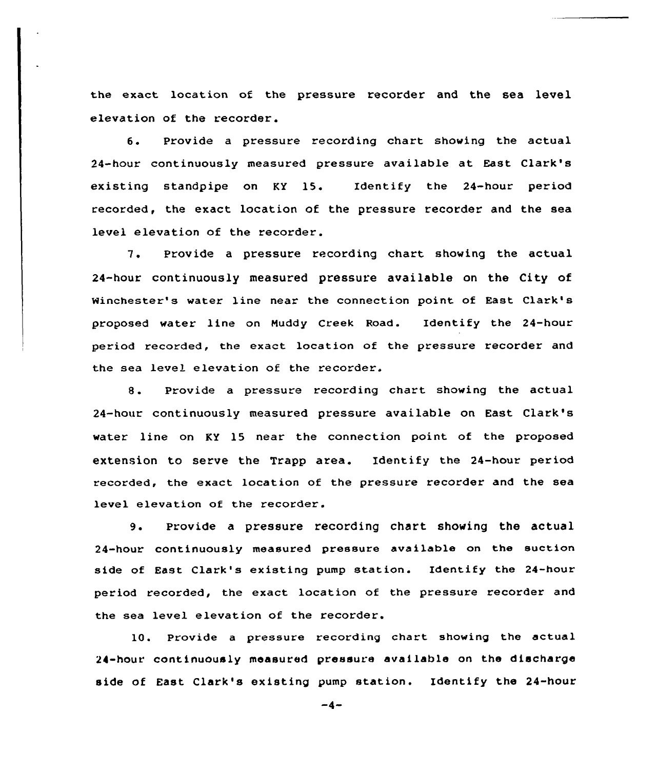the exact location of the pressure recorder and the sea level elevation of the recorder.

6. Provide <sup>a</sup> pressure recording chart showing the actual 24-hour continuously measured pressure available at East Clark's existing standpipe on KY 15. Identify the 24-hour period recorded, the exact location of the pressure recorder and the sea level elevation of the recorder.

7. Provide <sup>a</sup> pressure recording chart showing the actual 24-hour continuously measured pressure available on the City of Winchester's water line near the connection point of East Clark's proposed water line on Muddy Creek Road. Identify the 24-hour period recorded, the exact location of the pressure recorder and the sea level elevation of the recorder.

8. Provide <sup>a</sup> pressure recording chart showing the actual 24-hour continuously measured pressure available on East Clark's water line on KY 15 near the connection point of the proposed extension to serve the Trapp area. Identify the 24-hour period recorded, the exact location of the pressure recorder and the sea level elevation of the recorder.

9. provide <sup>a</sup> pressure recording chart showing the actual 24-hour continuously measured pressure available on the suction side of East Clark's existing pump station. Identify the 24-hour period recorded, the exact location of the pressure recorder and the sea level elevation of the recorder.

10. Provide a pressure recording chart showing the actual 24-hour continuously measured pressure available on the discharge side of East Clark's existing pump station. Identify the 24-hour

 $-4-$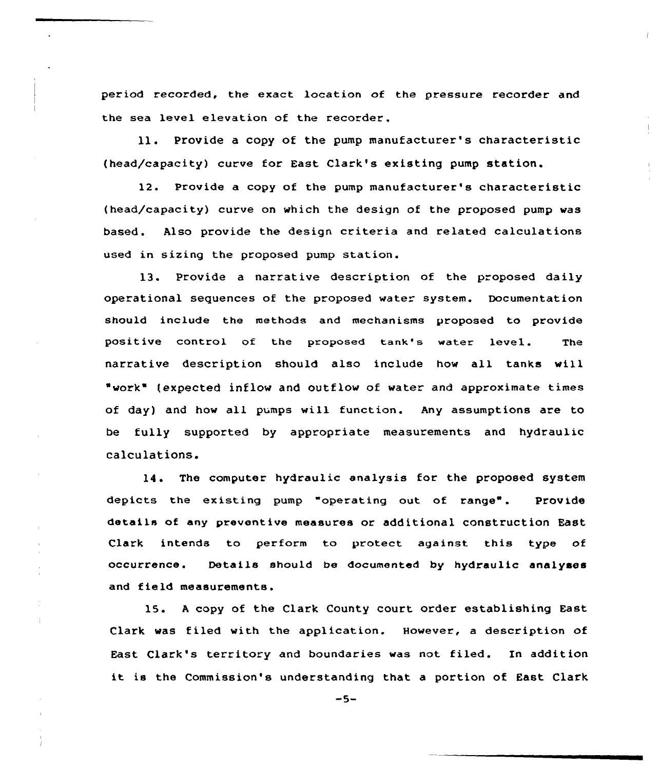period recorded, the exact location of the pressure recorder and the sea level elevation of the recorder.

ll. Provide <sup>a</sup> copy of the pump manufacturer's characteristic (head/capacity) curve for East Clark's existing pump station.

12. Provide a copy of the pump manufacturer's characteristic {head/capacity) curve on which the design of the proposed pump was based. Also provide the design criteria and related calculations used in sizing the proposed pump station.

13. Provide a narrative description of the proposed daily operational sequences of the proposed water system. Documentation should include the methods and mechanisms proposed to provide positive control of the proposed tank's water level. The narrative description should also include how all tanks will "work" (expected inflow and outflow of water and approximate times of day) and how all pumps will function. Any assumptions are to be fully supported by appropriate measurements and hydraulic calculations.

14. The computer hydraulic analysis for the proposed system depicts the existing pump "operating out of range". Provide details of any preventive measures or additional construction East Clark intends to perform to protect against this type of occurrence. Details should be documented by hydraulic analyses and field measurements.

15. <sup>A</sup> copy of the Clark County court order establishing East Clark was filed with the application. However, a description of East Clark's territory and boundaries was not. filed. In addition it is the Commission's understanding that <sup>a</sup> portion of East Clark

 $-5-$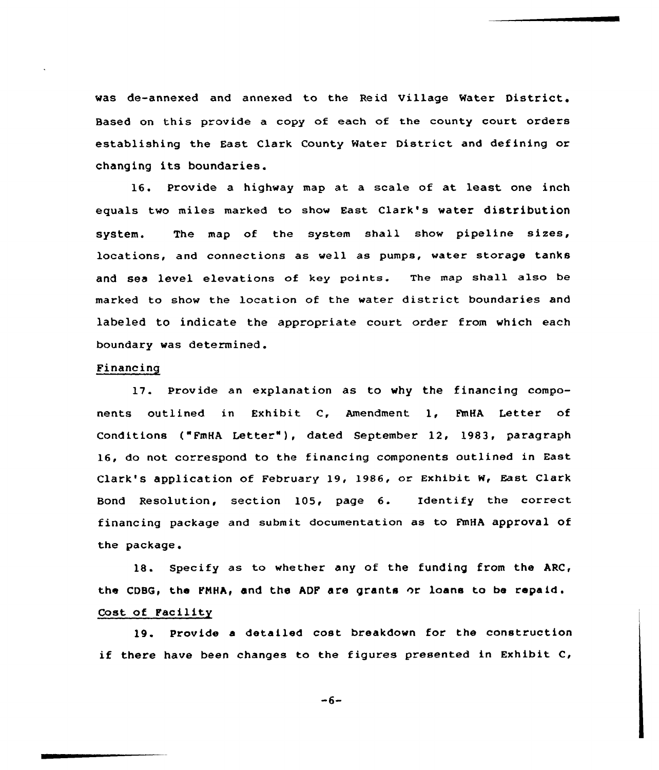was de-annexed and annexed to the Reid Village Water District. Based on this provide a copy of each of the county court orders establishing the East Clark County Water District and defining or changing its boundaries.

16. Provide a highway map at a scale of at least one inch equals two miles marked to show East Clark's water distribution system. The map of the system shall show pipeline sizes, locations, and connections as well as pumps, water storage tanks and sea level elevations of key points. The map shall also be marked to show the location of the water district boundaries and labeled to indicate the appropriate court order from which each boundary was determined.

# Financing

17. Provide an explanation as to why the financing components outlined in Exhibit C, Amendment 1, FmHA Letter of Conditions ("FmHA Letter" ), dated September 12, 1983, paragraph 16, do not correspond to the financing components outlined in East Clark's application of February 19, 1986, or Exhibit W, East Clark Bond Resolution, section 105, page 6. Identify the correct financing package and submit documentation as to FmHA approval of the package.

18. Specify as to whether any of the funding from the ARC, the CDBG, the PNHA, and the ADP are grants or loans to be repaid . Cost of Pacility

19. Provide <sup>a</sup> detailed cost breakdown for the construction if there have been changes to the figures presented in Exhibit C,

 $-6-$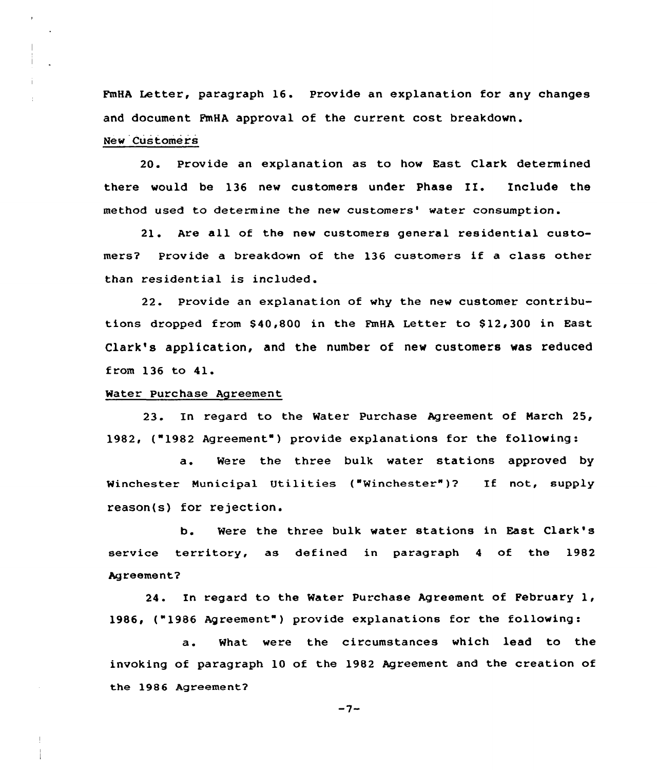FmHA Letter, paragraph 16. Provide an explanation for any changes and document PmHA approval of the current cost breakdown. New Customers

20. Provide an explanation as to how East Clark determined there would be 136 new customers under Phase IE. Include the method used to determine the new customers' water consumption.

21. Are all of the new customers general residential customers? Provide <sup>a</sup> breakdown of the 136 customers if <sup>a</sup> class other than residential is included.

22. Provide an explanation of why the new customer contributions dropped from \$40,800 in the FmHA Letter to \$12,300 in East Clark's application, and the number of new customers was reduced from 136 to 41.

#### Water Purchase Agreement

23. In regard to the Water Purchase Agreement of Narch 25, 1982, ("1982 Agreement") provide explanations for the following:

a. Were the three bulk water stations approved by Winchester Municipal Utilities ("Winchester")? If not, supply reason(s) for rejection.

b. Were the three bulk water stations in East Clark's service territory, as defined in paragraph <sup>4</sup> of the 1982 Agreement?

24. In regard to the Water Purchase Agreement of February 1, 1986, ("1986 Agreement" ) provide explanations for the following:

a. What were the circumstances which lead to the invoking of paragraph 10 of the 1982 Agreement and the creation of the 1986 Agreement?

 $-7-$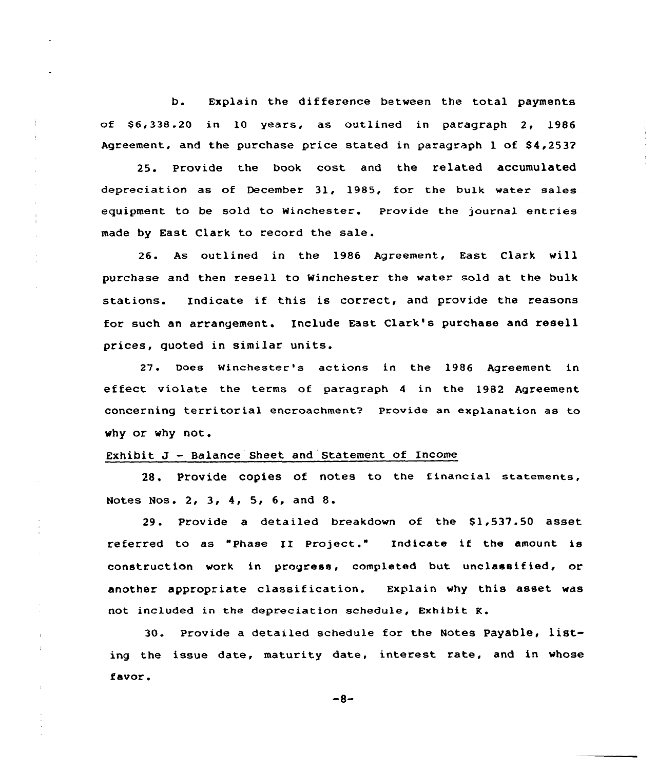b. Explain the difference between the total payments of \$ 6,338.20 in 10 years, as outlined in paragraph 2, 1986 Agreement, and the purchase price stated in paragraph  $1$  of  $$4,2537$ 

25. Provide the book cost and the related accumulated depreciation as of December 31, 1985, for the bulk water sales equipment to be sold to Winchester. provide the journal entries made by East Clark to record the sale.

26. As outlined in the 1986 Agreement, East Clark will purchase and then resell to Winchester the water sold at the bulk stations. Indicate if this is correct, and provide the reasons for such an arrangement. Include East Clark's purchase and resell prices, quoted in similar units.

27. Does Winchester's actions in the 1986 Agreement in effect. violate the terms of paragraph <sup>4</sup> in the 1982 Agreement concerning territoria1 encroachment7 Provide an explanation as to why or why not.

### Exhibit J — Balance Sheet and Statement of Income

28. PrOVide COpieS Of nOteS tO the financial statements, Notes Nos. 2, 3, 4, 5, 6, and 8.

29. Provide a detailed breakdown of the \$1,537.50 asset referred to as "Phase II Project." Indicate if the amount is construction work in progress, completed but unclassified, or another appropriate classification. Explain why this asset was not included in the depreciation schedule, Exhibit K.

30. Provide a detailed schedule for the Notes Payable, listing the issue date, maturity date, interest rate, and in whose favor.

 $-8-$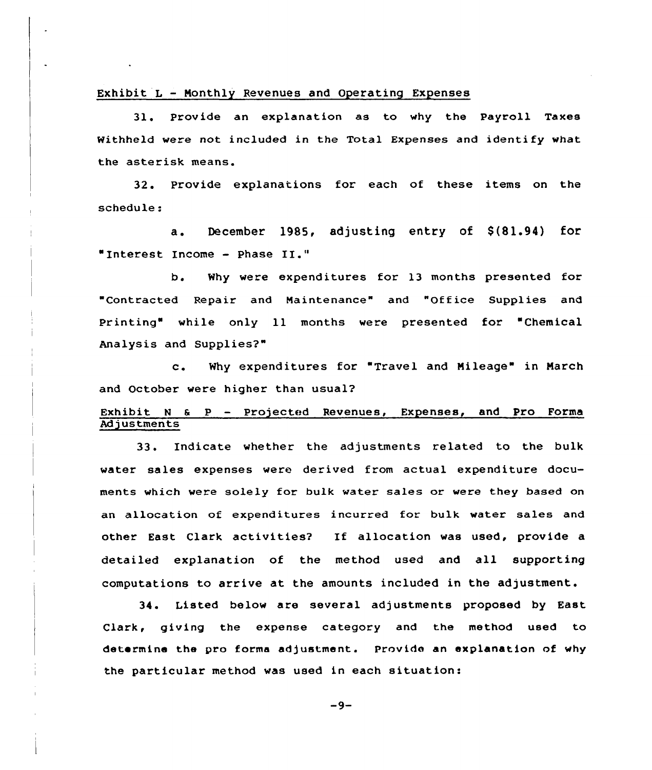### Exhibit L — Monthly Revenues and Operating Expenses

31, provide an explanation as to why the Payroll Taxes Withheld were not included in the Total Expenses and identify what the asterisk means.

32. Provide explanations for each of these items on the schedule:

a. December 1985, adjusting entry of \$(81.94) for "Interest Income — phase II."

b. Why were expenditures for 13 months presented for "Contracted Repair and Maintenance" and "Office Supplies and Printing" while only ll months were presented for "Chemical Analysis and Supplies?"

c. Why expenditures for "Travel and Mileage" in March and October were higher than usual?

# Exhibit N & P - Projected Revenues, Expenses, and Pro Forma Adjustments

33. Indicate whether the adjustments related to the bulk water sales expenses were derived from actual expenditure documents which were solely for bulk water sales or were they based on an allocation of expenditures incurred for bulk water sales and other East Clark activities? If allocation was used, provide <sup>a</sup> detailed explanation of the method used and all supporting computations to arrive at the amounts included in the adjustment.

34. Listed below are several adjustments proposed by East Clark, giving the expense category and the method used to determine the pro forma adjustment. Provide an explanation of why the particular method was used in each situation:

 $-9-$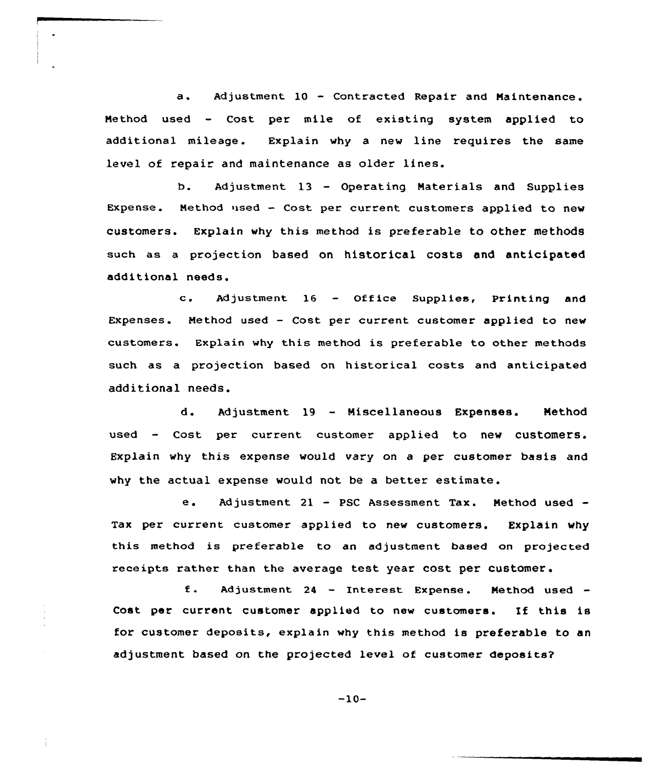a. Adjustment <sup>10</sup> — Contracted Repair and Naintenance. Method used - Cost per mile of existing system applied to additional mileage. Explain why a new line requires the same level of repair and maintenance as older lines.

b. Adjustment 13 — Operating Naterials and Supplies Expense. Nethod used — Cost per current customers applied to new customers. Explain why this method is preferable to other methods such as a projection based on historical costs and anticipated additional needs.

c. Adjustment <sup>16</sup> — Office Supplies, printing and Expenses. Method used — Cost per current customer applied to new customers. Explain why this method is preferable to other methods such as a projection based on historical costs and anticipated additional needs.

d. Adjustment 19 — Miscellaneous Expenses. Method used — Cost per current customer applied to new customers. Explain why this expense would vary on a per customer basis and why the actual expense would not be a better estimate.

e. Adjustment 21 - PSC Assessment Tax. Method used -Tax per current customer applied to new customers. Explain why this method is preferable to an adjustment based on projected receipts rather than the average test year cost per Customer.

f. Adjustment 24 - Interest Expense. Method used -Cost per current customer applied to new customers. If this is for customer deposits, explain why this method is preferable to an adjustment based on the projected level of customer deposits?

 $-10-$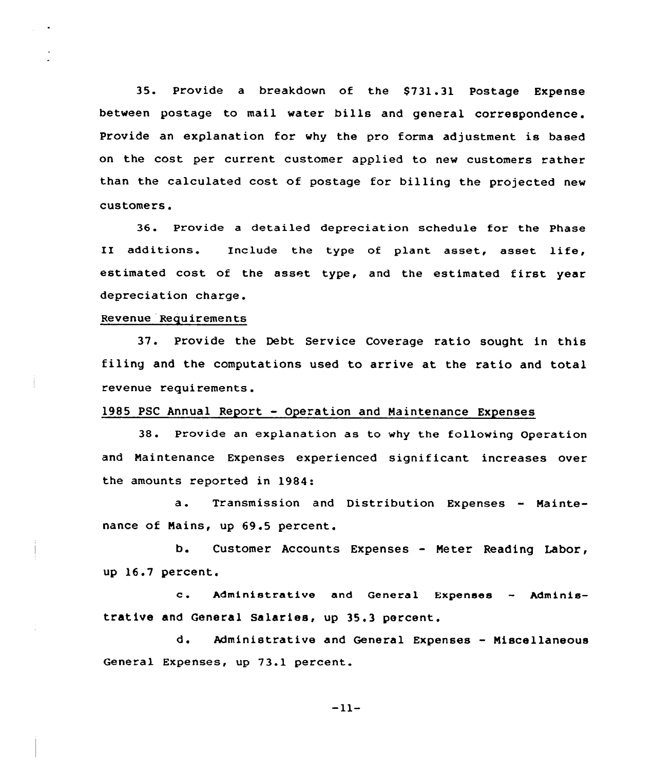35. Provide a breakdown of the \$731.31 Postage Expense between postage to mail water bills and general correspondence. Provide an explanation for why the pro forma adjustment is based on the cost per current customer applied to new customers rather than the calculated cost of postage for billing the projected new customers.

36. Provide a detailed depreciation schedule for the Phase II additions. Include the type of plant asset, asset life, estimated cost of the asset type, and the estimated first year depreciation charge.

## Revenue Requirements

37. Provide the Debt Service Coverage ratio sought in this filing and the computations used to arrive at the ratio and total revenue requirements.

### 1985 PSC Annual Report — Operation and Naintenance Expenses

38. Provide an explanation as to why the following Operation and Naintenance Expenses experienced significant increases over the amounts reported in 1984:

a. Transmission and Distribution Expenses — Maintenance of Nains, up 69.5 percent.

b. Customer Accounts Expenses — Neter Reading Labor, up 16.7 percent.

c. Administrative and General Expenses — Administrative and General salaries, up 35.3 percent.

d. Administrative and General Expenses - Niscellaneous General Expenses, up 73.1 percent.

 $-11-$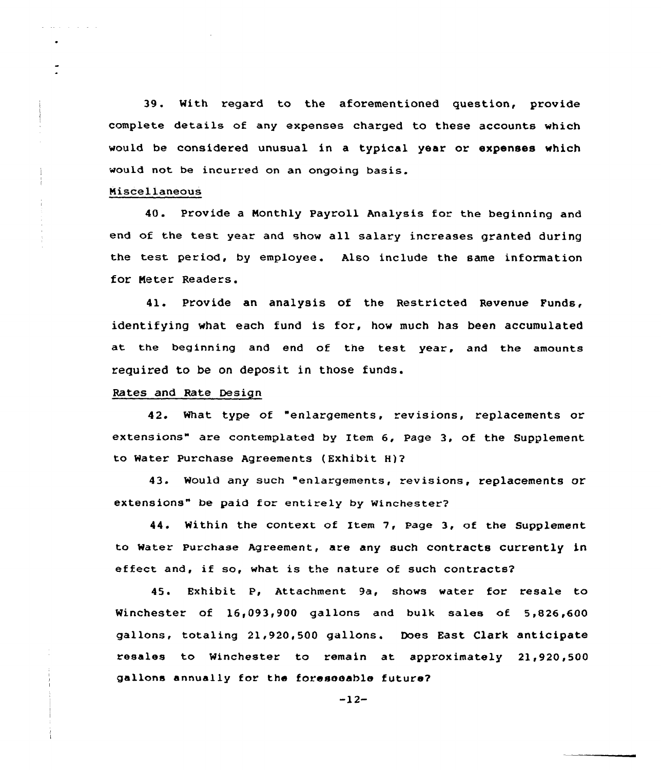39. With regard to the aforementioned question, provide complete details of any expenses charged to these accounts which would be considered unusual in a typical year or expenses which would not be incurred on an ongoing basis.

## Niscellaneous

المناصب والمناوب والمحاربة

40. Provide a Monthly Payroll Analysis for the beginning and end of the test year and show all salary increases granted during the test period. by employee. Also include the same information for Neter Readers.

41. Provide an analysis of the Restricted Revenue Funds, identifying what each fund is for, how much has been accumulated at the beginning and end of the test year, and the amounts required to be on deposit in those funds.

## Rates and Rate Design

42. What type of "enlargements, revisions, replacements or extensions" are contemplated by Item 6, Page 3, of the Supplement to Mater Purchase Agreements (Exhibit H)2

43. Mould any such "enlargements, revisions, replacements or extensions" be paid for entirely by Winchester?

44. Within the context of Item 7, Page 3, of the Supplement to Mater Purchase Agreement, are any such contracts currently in effect and, if so, what is the nature of such contracts?

45. Exhibit P, Attachment 9a, shows water for resale to Winchester of 16,093,900 gallons and bulk sales of 5,826,600 gallons, totaling 21,920,500 gallons. Does East Clark anticipate resales to Winchester to remain at approximately 21,920,500 gallons annually for the foreseeable future?